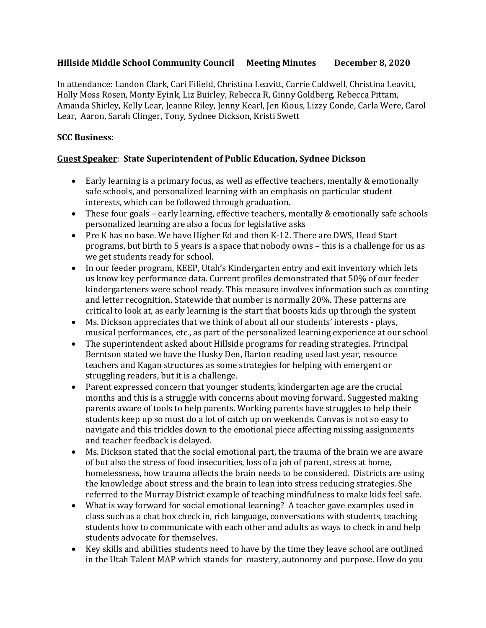# **Hillside Middle School Community Council Meeting Minutes December 8, 2020**

In attendance: Landon Clark, Cari Fifield, Christina Leavitt, Carrie Caldwell, Christina Leavitt, Holly Moss Rosen, Monty Eyink, Liz Buirley, Rebecca R, Ginny Goldberg, Rebecca Pittam, Amanda Shirley, Kelly Lear, Jeanne Riley, Jenny Kearl, Jen Kious, Lizzy Conde, Carla Were, Carol Lear, Aaron, Sarah Clinger, Tony, Sydnee Dickson, Kristi Swett

## **SCC Business**:

## **Guest Speaker**: **State Superintendent of Public Education, Sydnee Dickson**

- Early learning is a primary focus, as well as effective teachers, mentally & emotionally safe schools, and personalized learning with an emphasis on particular student interests, which can be followed through graduation.
- These four goals early learning, effective teachers, mentally & emotionally safe schools personalized learning are also a focus for legislative asks
- Pre K has no base. We have Higher Ed and then K-12. There are DWS, Head Start programs, but birth to 5 years is a space that nobody owns – this is a challenge for us as we get students ready for school.
- In our feeder program, KEEP, Utah's Kindergarten entry and exit inventory which lets us know key performance data. Current profiles demonstrated that 50% of our feeder kindergarteners were school ready. This measure involves information such as counting and letter recognition. Statewide that number is normally 20%. These patterns are critical to look at, as early learning is the start that boosts kids up through the system
- Ms. Dickson appreciates that we think of about all our students' interests plays, musical performances, etc., as part of the personalized learning experience at our school
- The superintendent asked about Hillside programs for reading strategies. Principal Berntson stated we have the Husky Den, Barton reading used last year, resource teachers and Kagan structures as some strategies for helping with emergent or struggling readers, but it is a challenge.
- Parent expressed concern that younger students, kindergarten age are the crucial months and this is a struggle with concerns about moving forward. Suggested making parents aware of tools to help parents. Working parents have struggles to help their students keep up so must do a lot of catch up on weekends. Canvas is not so easy to navigate and this trickles down to the emotional piece affecting missing assignments and teacher feedback is delayed.
- Ms. Dickson stated that the social emotional part, the trauma of the brain we are aware of but also the stress of food insecurities, loss of a job of parent, stress at home, homelessness, how trauma affects the brain needs to be considered. Districts are using the knowledge about stress and the brain to lean into stress reducing strategies. She referred to the Murray District example of teaching mindfulness to make kids feel safe.
- What is way forward for social emotional learning? A teacher gave examples used in class such as a chat box check in, rich language, conversations with students, teaching students how to communicate with each other and adults as ways to check in and help students advocate for themselves.
- Key skills and abilities students need to have by the time they leave school are outlined in the Utah Talent MAP which stands for mastery, autonomy and purpose. How do you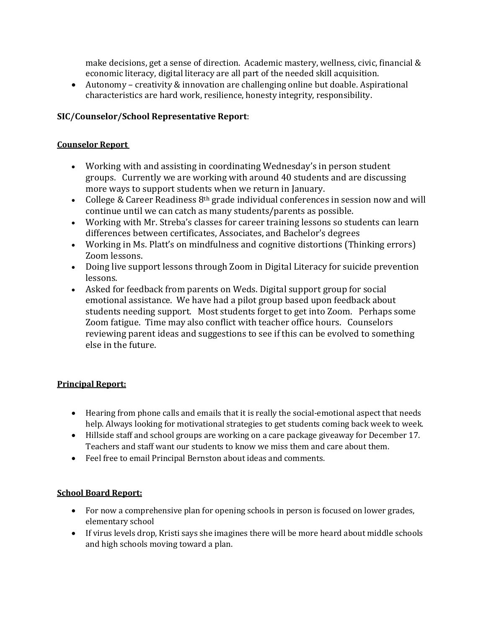make decisions, get a sense of direction. Academic mastery, wellness, civic, financial & economic literacy, digital literacy are all part of the needed skill acquisition.

• Autonomy – creativity & innovation are challenging online but doable. Aspirational characteristics are hard work, resilience, honesty integrity, responsibility.

# **SIC/Counselor/School Representative Report**:

# **Counselor Report**

- Working with and assisting in coordinating Wednesday's in person student groups. Currently we are working with around 40 students and are discussing more ways to support students when we return in January.
- College & Career Readiness  $8<sup>th</sup>$  grade individual conferences in session now and will continue until we can catch as many students/parents as possible.
- Working with Mr. Streba's classes for career training lessons so students can learn differences between certificates, Associates, and Bachelor's degrees
- Working in Ms. Platt's on mindfulness and cognitive distortions (Thinking errors) Zoom lessons.
- Doing live support lessons through Zoom in Digital Literacy for suicide prevention lessons.
- Asked for feedback from parents on Weds. Digital support group for social emotional assistance. We have had a pilot group based upon feedback about students needing support. Most students forget to get into Zoom. Perhaps some Zoom fatigue. Time may also conflict with teacher office hours. Counselors reviewing parent ideas and suggestions to see if this can be evolved to something else in the future.

# **Principal Report:**

- Hearing from phone calls and emails that it is really the social-emotional aspect that needs help. Always looking for motivational strategies to get students coming back week to week.
- Hillside staff and school groups are working on a care package giveaway for December 17. Teachers and staff want our students to know we miss them and care about them.
- Feel free to email Principal Bernston about ideas and comments.

# **School Board Report:**

- For now a comprehensive plan for opening schools in person is focused on lower grades, elementary school
- If virus levels drop, Kristi says she imagines there will be more heard about middle schools and high schools moving toward a plan.